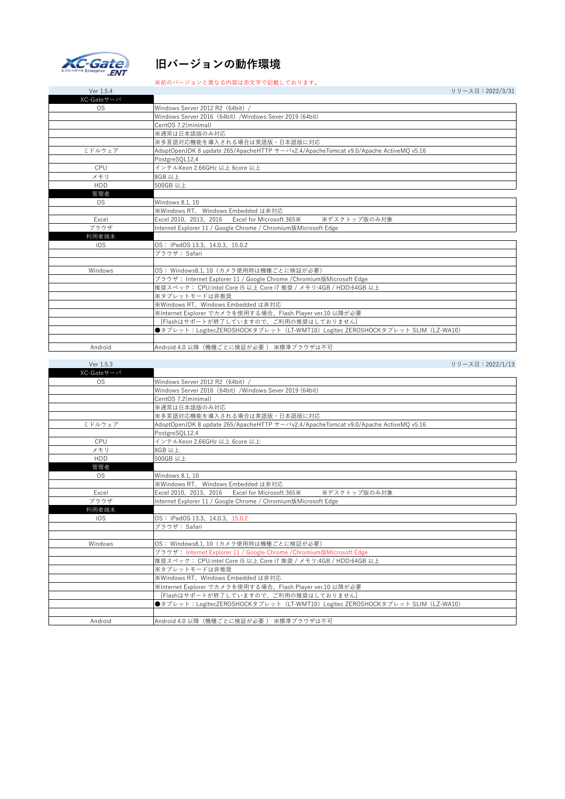

## **旧バージョンの動作環境**

## ※前のバージョンと異なる内容は赤文字で記載しております。

Ver 1.5.4 リリース日:2022/3/31

| XC-Gateサーバ |                                                                                                        |
|------------|--------------------------------------------------------------------------------------------------------|
| <b>OS</b>  | Windows Server 2012 R2 (64bit) /                                                                       |
|            | Windows Server 2016 (64bit) /Windows Sever 2019 (64bit)                                                |
|            | CentOS 7.2(minimal)                                                                                    |
|            | ※通常は日本語版のみ対応                                                                                           |
|            | ※多言語対応機能を導入される場合は英語版・日本語版に対応                                                                           |
| ミドルウェア     | AdoptOpenJDK 8 update 265/ApacheHTTP $+ - \check{\wedge}$ v2.4/ApacheTomcat v9.0/Apache ActiveMQ v5.16 |
|            | PostgreSQL12.4                                                                                         |
| CPU        | インテルXeon 2.66GHz 以上 6core 以上                                                                           |
| メモリ        | 8GB 以上                                                                                                 |
| <b>HDD</b> | 500GB 以上                                                                                               |
| 管理者        |                                                                                                        |
| OS.        | Windows 8.1, 10                                                                                        |
|            | ※Windows RT、 Windows Embedded は非対応                                                                     |
| Excel      | Excel 2010, 2013, 2016 Excel for Microsoft 365 %<br>※デスクトップ版のみ対象                                       |
| ブラウザ       | Internet Explorer 11 / Google Chrome / Chromium版Microsoft Edge                                         |
| 利用者端末      |                                                                                                        |
| iOS        | OS: iPadOS 13.3, 14.0.3, 15.0.2                                                                        |
|            | ブラウザ: Safari                                                                                           |
|            |                                                                                                        |
| Windows    | OS: Windows8.1, 10 (カメラ使用時は機種ごとに検証が必要)                                                                 |
|            | ブラウザ: Internet Explorer 11 / Google Chrome / Chromium版Microsoft Edge                                   |
|            | 推奨スペック: CPU:intel Core i5 以上 Core i7 推奨 / メモリ:4GB / HDD:64GB 以上                                        |
|            | ※タブレットモードは非推奨                                                                                          |
|            | ※Windows RT、Windows Embedded は非対応                                                                      |
|            | ※Internet Explorer でカメラを使用する場合、Flash Player ver.10 以降が必要                                               |
|            | [Flashはサポートが終了していますので、ご利用の推奨はしておりません]                                                                  |
|            | ●タブレット:LogitecZEROSHOCKタブレット(LT-WMT10)Logitec ZEROSHOCKタブレット SLIM(LZ-WA10)                             |
|            |                                                                                                        |
| Android    | Android 4.0 以降(機種ごとに検証が必要) ※標準ブラウザは不可                                                                  |

| Ver 1.5.3  | リリース日: 2022/1/13                                                                                     |
|------------|------------------------------------------------------------------------------------------------------|
| XC-Gateサーバ |                                                                                                      |
| <b>OS</b>  | Windows Server 2012 R2 (64bit)                                                                       |
|            | Windows Server 2016 (64bit) /Windows Sever 2019 (64bit)                                              |
|            | CentOS 7.2(minimal)                                                                                  |
|            | ※通常は日本語版のみ対応                                                                                         |
|            | ※多言語対応機能を導入される場合は英語版・日本語版に対応                                                                         |
| ミドルウェア     | AdoptOpenJDK 8 update 265/ApacheHTTP $+ - \check{\vee}$ v2.4/ApacheTomcat v9.0/Apache ActiveMQ v5.16 |
|            | PostgreSQL12.4                                                                                       |
| CPU        | インテルXeon 2.66GHz 以上 6core 以上                                                                         |
| メモリ        | 8GB 以上                                                                                               |
| <b>HDD</b> | 500GB 以上                                                                                             |
| 管理者        |                                                                                                      |
| <b>OS</b>  | Windows 8.1, 10                                                                                      |
|            | ※Windows RT、 Windows Embedded は非対応                                                                   |
| Excel      | Excel 2010、2013、2016 Excel for Microsoft 365※<br>※デスクトップ版のみ対象                                        |
| ブラウザ       | Internet Explorer 11 / Google Chrome / Chromium版Microsoft Edge                                       |
| 利用者端末      |                                                                                                      |
| iOS        | OS: iPadOS 13.3、14.0.3、15.0.2                                                                        |
|            | ブラウザ: Safari                                                                                         |
|            |                                                                                                      |
| Windows    | OS: Windows8.1.10 (カメラ使用時は機種ごとに検証が必要)                                                                |
|            | ブラウザ: Internet Explorer 11 / Google Chrome / Chromium版Microsoft Edge                                 |
|            | 推奨スペック: CPU:intel Core i5 以上 Core i7 推奨 / メモリ:4GB / HDD:64GB 以上                                      |
|            | ※タブレットモードは非推奨                                                                                        |
|            | ※Windows RT、Windows Embedded は非対応                                                                    |
|            | ※Internet Explorer でカメラを使用する場合、Flash Player ver.10 以降が必要                                             |
|            | [Flashはサポートが終了していますので、ご利用の推奨はしておりません]                                                                |
|            | ●タブレット:LogitecZEROSHOCKタブレット(LT-WMT10)Logitec ZEROSHOCKタブレット SLIM(LZ-WA10)                           |
|            |                                                                                                      |
| Android    | Android 4.0 以降(機種ごとに検証が必要 ) ※標準ブラウザは不可                                                               |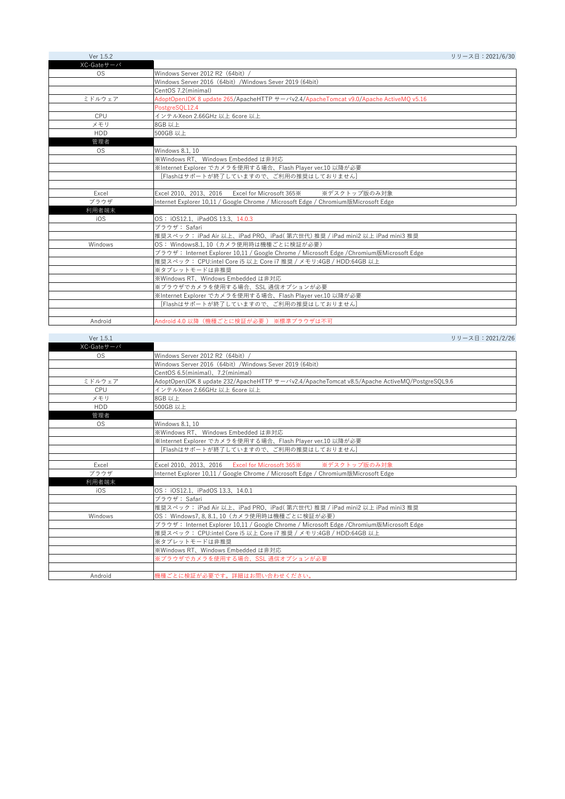| Ver 1.5.2  |                                                                                             | リリース日: 2021/6/30 |
|------------|---------------------------------------------------------------------------------------------|------------------|
| XC-Gateサーバ |                                                                                             |                  |
| <b>OS</b>  | Windows Server 2012 R2 (64bit) /                                                            |                  |
|            | Windows Server 2016 (64bit) /Windows Sever 2019 (64bit)                                     |                  |
|            | CentOS 7.2(minimal)                                                                         |                  |
| ミドルウェア     | AdoptOpenJDK 8 update 265/ApacheHTTP $+ - x y 2.4/A$ pacheTomcat v9.0/Apache ActiveMQ v5.16 |                  |
|            | PostgreSOL12.4                                                                              |                  |
| CPU        | インテルXeon 2.66GHz 以上 6core 以上                                                                |                  |
| メモリ        | 8GB 以上                                                                                      |                  |
| <b>HDD</b> | 500GB 以上                                                                                    |                  |
| 管理者        |                                                                                             |                  |
| <b>OS</b>  | Windows 8.1, 10                                                                             |                  |
|            | ※Windows RT、 Windows Embedded は非対応                                                          |                  |
|            | ※Internet Explorer でカメラを使用する場合、Flash Player ver.10 以降が必要                                    |                  |
|            | [Flashはサポートが終了していますので、ご利用の推奨はしておりません]                                                       |                  |
|            |                                                                                             |                  |
| Excel      | Excel 2010, 2013, 2016 Excel for Microsoft 365 %<br>※デスクトップ版のみ対象                            |                  |
| ブラウザ       | Internet Explorer 10,11 / Google Chrome / Microsoft Edge / Chromium版Microsoft Edge          |                  |
| 利用者端末      |                                                                                             |                  |
| i0S        | OS: iOS12.1、iPadOS 13.3、14.0.3                                                              |                  |
|            | ブラウザ: Safari                                                                                |                  |
|            | 推奨スペック: iPad Air 以上、iPad PRO、iPad(第六世代) 推奨 / iPad mini2 以上 iPad mini3 推奨                    |                  |
| Windows    | OS: Windows8.1.10 (カメラ使用時は機種ごとに検証が必要)                                                       |                  |
|            | ブラウザ: Internet Explorer 10,11 / Google Chrome / Microsoft Edge / Chromium版Microsoft Edge    |                  |
|            | 推奨スペック: CPU:intel Core i5 以上 Core i7 推奨 / メモリ:4GB / HDD:64GB 以上                             |                  |
|            | ※タブレットモードは非推奨                                                                               |                  |
|            | ※Windows RT、Windows Embedded は非対応                                                           |                  |
|            | ※ブラウザでカメラを使用する場合、SSL 通信オプションが必要                                                             |                  |
|            | ※Internet Explorer でカメラを使用する場合、Flash Player ver.10 以降が必要                                    |                  |
|            | [Flashはサポートが終了していますので、ご利用の推奨はしておりません]                                                       |                  |
|            |                                                                                             |                  |
| Android    | Android 4.0 以降 (機種ごとに検証が必要) ※標準ブラウザは不可                                                      |                  |

| Ver 1.5.1  | リリース日: 2021/2/26                                                                                                       |
|------------|------------------------------------------------------------------------------------------------------------------------|
| XC-Gateサーバ |                                                                                                                        |
| OS.        | Windows Server 2012 R2 (64bit) /                                                                                       |
|            | Windows Server 2016 (64bit) /Windows Sever 2019 (64bit)                                                                |
|            | CentOS 6.5(minimal), 7.2(minimal)                                                                                      |
| ミドルウェア     | AdoptOpenJDK 8 update 232/ApacheHTTP $\overline{y} - \overline{y}$ 2.4/ApacheTomcat v8.5/Apache ActiveMO/PostgreSQL9.6 |
| CPU        | インテルXeon 2.66GHz 以上 6core 以上                                                                                           |
| メモリ        | 8GB 以上                                                                                                                 |
| <b>HDD</b> | 500GB 以上                                                                                                               |
| 管理者        |                                                                                                                        |
| <b>OS</b>  | Windows 8.1.10                                                                                                         |
|            | ※Windows RT、 Windows Embedded は非対応                                                                                     |
|            | ※Internet Explorer でカメラを使用する場合、Flash Player ver.10 以降が必要                                                               |
|            | [Flashはサポートが終了していますので、ご利用の推奨はしておりません]                                                                                  |
|            |                                                                                                                        |
| Excel      | Excel 2010, 2013, 2016 Excel for Microsoft 365 %<br>※デスクトップ版のみ対象                                                       |
| ブラウザ       | Internet Explorer 10,11 / Google Chrome / Microsoft Edge / Chromium版Microsoft Edge                                     |
| 利用者端末      |                                                                                                                        |
| iOS        | OS: iOS12.1、iPadOS 13.3、14.0.1                                                                                         |
|            | ブラウザ: Safari                                                                                                           |
|            | 推奨スペック: iPad Air 以上、iPad PRO、iPad( 第六世代) 推奨 / iPad mini2 以上 iPad mini3 推奨                                              |
| Windows    | OS: Windows7, 8, 8.1, 10 (カメラ使用時は機種ごとに検証が必要)                                                                           |
|            | ブラウザ: Internet Explorer 10,11 / Google Chrome / Microsoft Edge / Chromium版Microsoft Edge                               |
|            | 推奨スペック: CPU:intel Core i5 以上 Core i7 推奨 / メモリ:4GB / HDD:64GB 以上                                                        |
|            | ※タブレットモードは非推奨                                                                                                          |
|            | ※Windows RT、Windows Embedded は非対応                                                                                      |
|            | ※ブラウザでカメラを使用する場合、SSL 通信オプションが必要                                                                                        |
|            |                                                                                                                        |
| Android    | 機種ごとに検証が必要です。詳細はお問い合わせください。                                                                                            |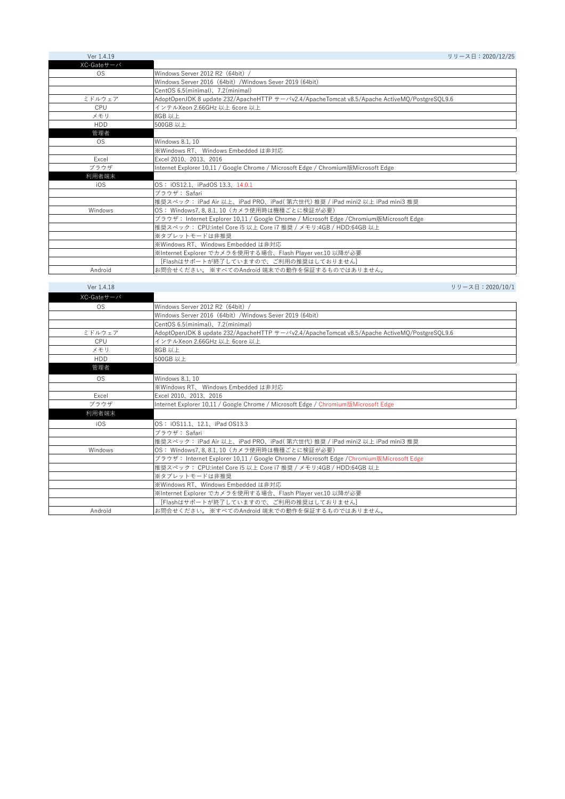| Ver 1.4.19 | リリース日: 2020/12/25                                                                                               |
|------------|-----------------------------------------------------------------------------------------------------------------|
| XC-Gateサーバ |                                                                                                                 |
| OS.        | Windows Server 2012 R2 (64bit) /                                                                                |
|            | Windows Server 2016 (64bit) /Windows Sever 2019 (64bit)                                                         |
|            | CentOS 6.5(minimal), 7.2(minimal)                                                                               |
| ミドルウェア     | AdoptOpenJDK 8 update 232/ApacheHTTP $\forall$ - $\forall$ v2.4/ApacheTomcat v8.5/Apache ActiveMQ/PostgreSQL9.6 |
| CPU        | インテルXeon 2.66GHz 以上 6core 以上                                                                                    |
| メモリ        | 8GB 以上                                                                                                          |
| <b>HDD</b> | 500GB 以上                                                                                                        |
| 管理者        |                                                                                                                 |
| <b>OS</b>  | Windows 8.1, 10                                                                                                 |
|            | ※Windows RT、 Windows Embedded は非対応                                                                              |
| Excel      | Excel 2010, 2013, 2016                                                                                          |
| ブラウザ       | Internet Explorer 10,11 / Google Chrome / Microsoft Edge / Chromium版Microsoft Edge                              |
| 利用者端末      |                                                                                                                 |
| iOS        | OS: iOS12.1、iPadOS 13.3、14.0.1                                                                                  |
|            | ブラウザ: Safari                                                                                                    |
|            | 推奨スペック: iPad Air 以上、iPad PRO、iPad(第六世代) 推奨 / iPad mini2 以上 iPad mini3 推奨                                        |
| Windows    | OS: Windows7, 8, 8.1, 10 (カメラ使用時は機種ごとに検証が必要)                                                                    |
|            | ブラウザ: Internet Explorer 10,11 / Google Chrome / Microsoft Edge / Chromium版Microsoft Edge                        |
|            | 推奨スペック: CPU:intel Core i5 以上 Core i7 推奨 / メモリ:4GB / HDD:64GB 以上                                                 |
|            | ※タブレットモードは非推奨                                                                                                   |
|            | ※Windows RT、Windows Embedded は非対応                                                                               |
|            | ※Internet Explorer でカメラを使用する場合、Flash Player ver.10 以降が必要                                                        |
|            | [Flashはサポートが終了していますので、ご利用の推奨はしておりません]                                                                           |
| Android    | お問合せください。 ※すべてのAndroid 端末での動作を保証するものではありません。                                                                    |

| Ver 1.4.18 | リリース日: 2020/10/1                                                                                      |
|------------|-------------------------------------------------------------------------------------------------------|
| XC-Gateサーバ |                                                                                                       |
| <b>OS</b>  | Windows Server 2012 R2 (64bit) /                                                                      |
|            | Windows Server 2016 (64bit) / Windows Sever 2019 (64bit)                                              |
|            | CentOS 6.5(minimal), 7.2(minimal)                                                                     |
| ミドルウェア     | AdoptOpenJDK 8 update 232/ApacheHTTP $+ - \nu v^2.4$ /ApacheTomcat v8.5/Apache ActiveMQ/PostgreSQL9.6 |
| CPU        | インテルXeon 2.66GHz 以上 6core 以上                                                                          |
| メモリ        | 8GB 以上                                                                                                |
| <b>HDD</b> | 500GB 以上                                                                                              |
| 管理者        |                                                                                                       |
| <b>OS</b>  | Windows 8.1, 10                                                                                       |
|            | ※Windows RT、 Windows Embedded は非対応                                                                    |
| Excel      | Excel 2010, 2013, 2016                                                                                |
| ブラウザ       | Internet Explorer 10,11 / Google Chrome / Microsoft Edge / Chromium版Microsoft Edge                    |
| 利用者端末      |                                                                                                       |
| iOS        | OS: iOS11.1, 12.1, iPad OS13.3                                                                        |
|            | ブラウザ: Safari                                                                                          |
|            | 推奨スペック: iPad Air 以上、iPad PRO、iPad(第六世代) 推奨 / iPad mini2 以上 iPad mini3 推奨                              |
| Windows    | OS: Windows7, 8, 8.1, 10 (カメラ使用時は機種ごとに検証が必要)                                                          |
|            | ブラウザ: Internet Explorer 10,11 / Google Chrome / Microsoft Edge /Chromium版Microsoft Edge               |
|            | 推奨スペック: CPU:intel Core i5 以上 Core i7 推奨 / メモリ:4GB / HDD:64GB 以上                                       |
|            | ※タブレットモードは非推奨                                                                                         |
|            | ※Windows RT、Windows Embedded は非対応                                                                     |
|            | ※Internet Explorer でカメラを使用する場合、Flash Player ver.10 以降が必要                                              |
|            | [Flashはサポートが終了していますので、ご利用の推奨はしておりません]                                                                 |
| Android    | お問合せください。 ※すべてのAndroid 端末での動作を保証するものではありません。                                                          |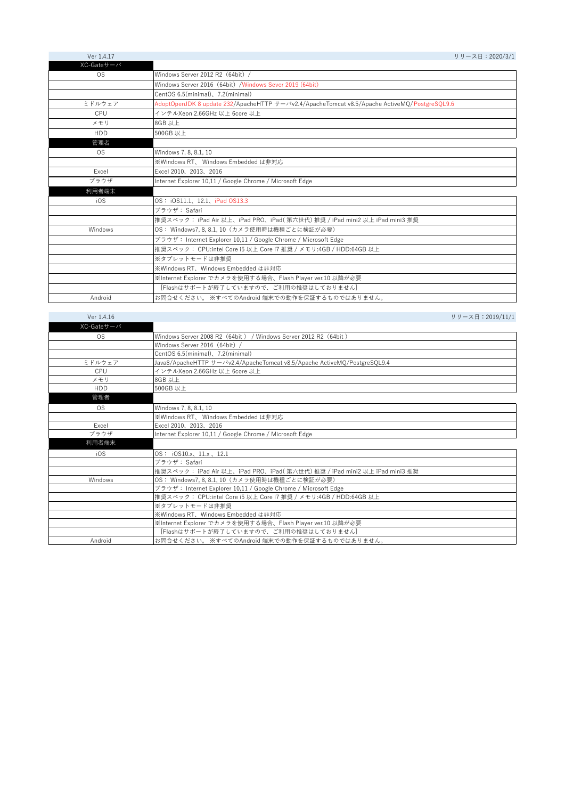| Ver 1.4.17 | リリース日: 2020/3/1                                                                                                 |
|------------|-----------------------------------------------------------------------------------------------------------------|
| XC-Gateサーバ |                                                                                                                 |
| OS.        | Windows Server 2012 R2 (64bit) /                                                                                |
|            | Windows Server 2016 (64bit) / Windows Sever 2019 (64bit)                                                        |
|            | CentOS 6.5(minimal), 7.2(minimal)                                                                               |
| ミドルウェア     | AdoptOpenJDK 8 update 232/ApacheHTTP $\forall$ - $\forall$ v2.4/ApacheTomcat v8.5/Apache ActiveMO/PostgreSOL9.6 |
| CPU        | インテルXeon 2.66GHz 以上 6core 以上                                                                                    |
| メモリ        | 8GB 以上                                                                                                          |
| <b>HDD</b> | 500GB 以上                                                                                                        |
| 管理者        |                                                                                                                 |
| OS.        | Windows 7, 8, 8.1, 10                                                                                           |
|            | ※Windows RT、 Windows Embedded は非対応                                                                              |
| Excel      | Excel 2010, 2013, 2016                                                                                          |
| ブラウザ       | Internet Explorer 10,11 / Google Chrome / Microsoft Edge                                                        |
| 利用者端末      |                                                                                                                 |
| iOS        | OS:iOS11.1、12.1、iPad OS13.3                                                                                     |
|            | ブラウザ: Safari                                                                                                    |
|            | 推奨スペック: iPad Air 以上、iPad PRO、iPad(第六世代) 推奨 / iPad mini2 以上 iPad mini3 推奨                                        |
| Windows    | OS: Windows7, 8, 8.1, 10 (カメラ使用時は機種ごとに検証が必要)                                                                    |
|            | ブラウザ: Internet Explorer 10,11 / Google Chrome / Microsoft Edge                                                  |
|            | 推奨スペック: CPU:intel Core i5 以上 Core i7 推奨 / メモリ:4GB / HDD:64GB 以上                                                 |
|            | ※タブレットモードは非推奨                                                                                                   |
|            | ※Windows RT、Windows Embedded は非対応                                                                               |
|            | ※Internet Explorer でカメラを使用する場合、Flash Player ver.10 以降が必要                                                        |
|            | [Flashはサポートが終了していますので、ご利用の推奨はしておりません]                                                                           |
| Android    | お問合せください。 ※すべてのAndroid 端末での動作を保証するものではありません。                                                                    |

| Ver 1.4.16 | リリース日:2019/11/1                                                           |
|------------|---------------------------------------------------------------------------|
| XC-Gateサーバ |                                                                           |
| <b>OS</b>  | Windows Server 2008 R2 (64bit) / Windows Server 2012 R2 (64bit)           |
|            | Windows Server 2016 (64bit) /                                             |
|            | CentOS 6.5(minimal), 7.2(minimal)                                         |
| ミドルウェア     | Java8/ApacheHTTP サーバv2.4/ApacheTomcat v8.5/Apache ActiveMO/PostgreSQL9.4  |
| CPU        | インテルXeon 2.66GHz 以上 6core 以上                                              |
| メモリ        | 8GB 以上                                                                    |
| <b>HDD</b> | 500GB 以上                                                                  |
| 管理者        |                                                                           |
| <b>OS</b>  | Windows 7, 8, 8.1, 10                                                     |
|            | ※Windows RT、 Windows Embedded は非対応                                        |
| Excel      | Excel 2010, 2013, 2016                                                    |
| ブラウザ       | Internet Explorer 10,11 / Google Chrome / Microsoft Edge                  |
| 利用者端末      |                                                                           |
| iOS        | OS: iOS10.x, 11.x, 12.1                                                   |
|            | ブラウザ: Safari                                                              |
|            | 推奨スペック: iPad Air 以上、iPad PRO、iPad( 第六世代) 推奨 / iPad mini2 以上 iPad mini3 推奨 |
| Windows    | OS: Windows7, 8, 8.1, 10 (カメラ使用時は機種ごとに検証が必要)                              |
|            | ブラウザ: Internet Explorer 10,11 / Google Chrome / Microsoft Edge            |
|            | 推奨スペック: CPU:intel Core i5 以上 Core i7 推奨 / メモリ:4GB / HDD:64GB 以上           |
|            | ※タブレットモードは非推奨                                                             |
|            | ※Windows RT、Windows Embedded は非対応                                         |
|            | ※Internet Explorer でカメラを使用する場合、Flash Player ver.10 以降が必要                  |
|            | [Flashはサポートが終了していますので、ご利用の推奨はしておりません]                                     |
| Android    | お問合せください。 ※すべてのAndroid 端末での動作を保証するものではありません。                              |